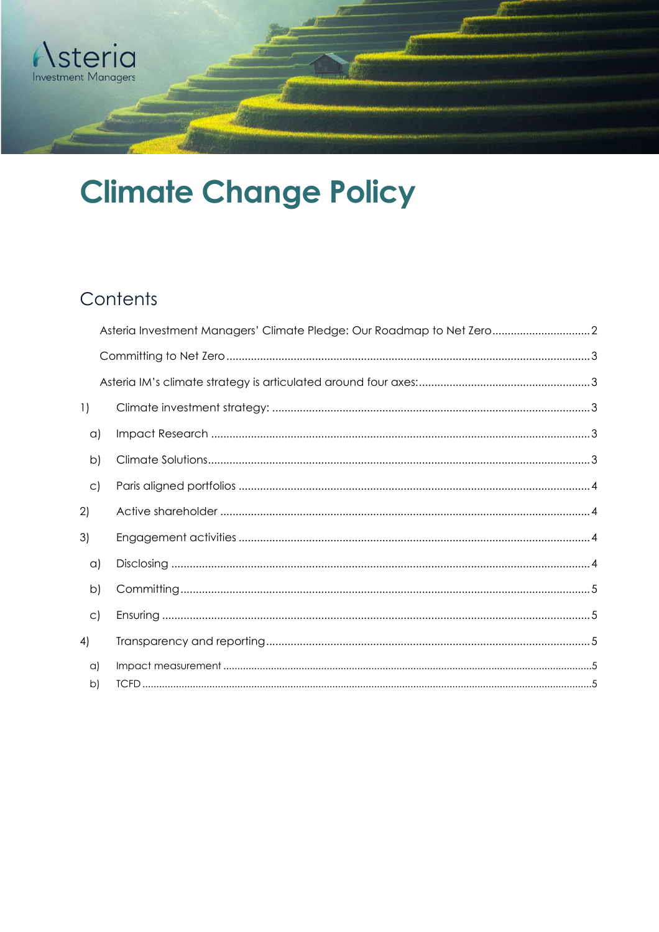

# **Climate Change Policy**

## Contents

<span id="page-0-0"></span>

|                        | Asteria Investment Managers' Climate Pledge: Our Roadmap to Net Zero2 |  |
|------------------------|-----------------------------------------------------------------------|--|
|                        |                                                                       |  |
|                        |                                                                       |  |
| $\left  \cdot \right $ |                                                                       |  |
| $\alpha$               |                                                                       |  |
| $\mathsf{b}$           |                                                                       |  |
| $\circ$ )              |                                                                       |  |
| 2)                     |                                                                       |  |
| 3)                     |                                                                       |  |
| $\alpha$               |                                                                       |  |
| $\mathsf{b}$           |                                                                       |  |
| $\circ$ )              |                                                                       |  |
| 4)                     |                                                                       |  |
| $\alpha$               |                                                                       |  |
| b)                     |                                                                       |  |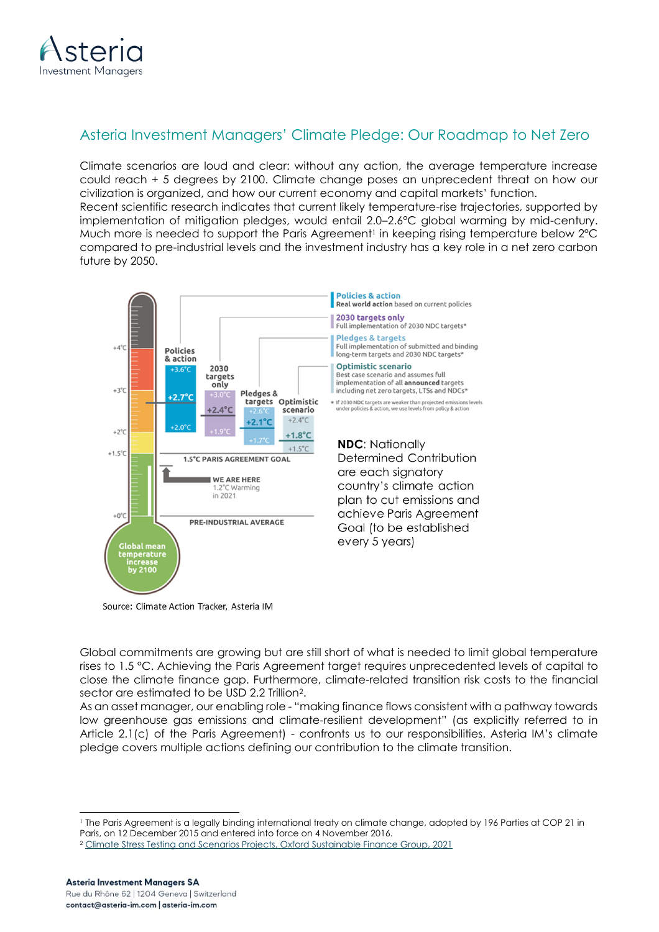

## Asteria Investment Managers' Climate Pledge: Our Roadmap to Net Zero

Climate scenarios are loud and clear: without any action, the average temperature increase could reach + 5 degrees by 2100. Climate change poses an unprecedent threat on how our civilization is organized, and how our current economy and capital markets' function. Recent scientific research indicates that current likely temperature-rise trajectories, supported by implementation of mitigation pledges, would entail 2.0–2.6°C global warming by mid-century. Much more is needed to support the Paris Agreement<sup>1</sup> in keeping rising temperature below 2°C compared to pre-industrial levels and the investment industry has a key role in a net zero carbon future by 2050.



Source: Climate Action Tracker, Asteria IM

Global commitments are growing but are still short of what is needed to limit global temperature rises to 1.5 °C. Achieving the Paris Agreement target requires unprecedented levels of capital to close the climate finance gap. Furthermore, climate-related transition risk costs to the financial sector are estimated to be USD 2.2 Trillion2.

As an asset manager, our enabling role - "making finance flows consistent with a pathway towards low greenhouse gas emissions and climate-resilient development" (as explicitly referred to in Article 2.1(c) of the Paris Agreement) - confronts us to our responsibilities. Asteria IM's climate pledge covers multiple actions defining our contribution to the climate transition.

<span id="page-1-0"></span><sup>1</sup> The Paris Agreement is a legally binding international treaty on climate change, adopted by 196 Parties at COP 21 in Paris, on 12 December 2015 and entered into force on 4 November 2016.

<sup>2</sup> [Climate Stress Testing and Scenarios Projects, Oxford Sustainable Finance Group, 2021](https://2degrees-investing.org/wp-content/uploads/2021/11/The-Cost-for-the-Financial-Sector-if-Firms-Delay-Climate-Action.pdf)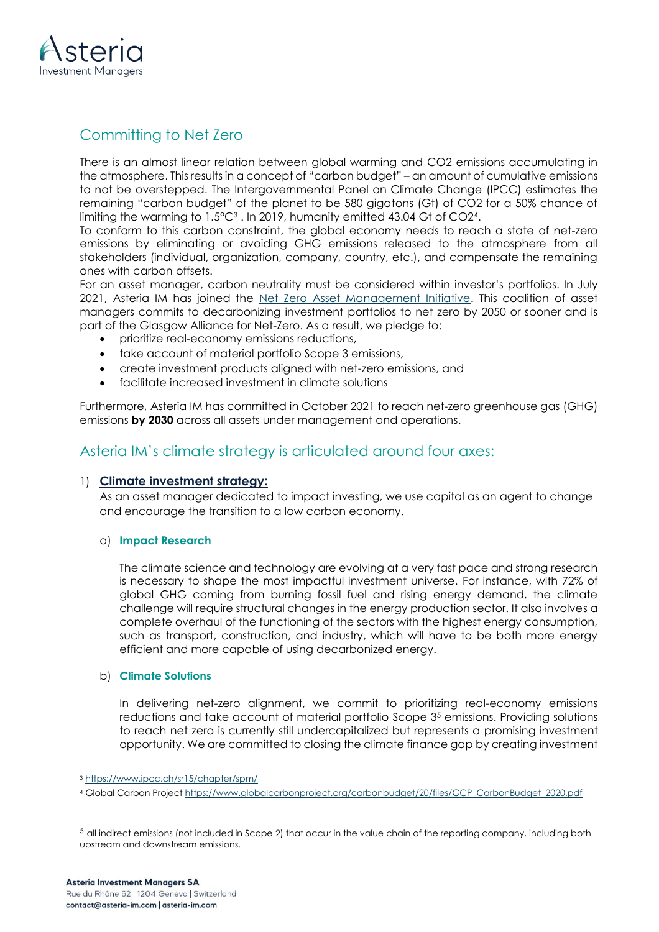

## Committing to Net Zero

There is an almost linear relation between global warming and CO2 emissions accumulating in the atmosphere. This results in a concept of "carbon budget" – an amount of cumulative emissions to not be overstepped. The Intergovernmental Panel on Climate Change (IPCC) estimates the remaining "carbon budget" of the planet to be 580 gigatons (Gt) of CO2 for a 50% chance of limiting the warming to 1.5°C<sup>3</sup> . In 2019, humanity emitted 43.04 Gt of CO24.

To conform to this carbon constraint, the global economy needs to reach a state of net-zero emissions by eliminating or avoiding GHG emissions released to the atmosphere from all stakeholders (individual, organization, company, country, etc.), and compensate the remaining ones with carbon offsets.

For an asset manager, carbon neutrality must be considered within investor's portfolios. In July 2021, Asteria IM has joined the [Net Zero Asset Management Initiative.](https://www.netzeroassetmanagers.org/) This coalition of asset managers commits to decarbonizing investment portfolios to net zero by 2050 or sooner and is part of the Glasgow Alliance for Net-Zero. As a result, we pledge to:

- prioritize real-economy emissions reductions,
- take account of material portfolio Scope 3 emissions,
- create investment products aligned with net-zero emissions, and
- facilitate increased investment in climate solutions

Furthermore, Asteria IM has committed in October 2021 to reach net-zero greenhouse gas (GHG) emissions **by 2030** across all assets under management and operations.

### <span id="page-2-0"></span>Asteria IM's climate strategy is articulated around four axes:

#### <span id="page-2-1"></span>1) **Climate investment strategy:**

As an asset manager dedicated to impact investing, we use capital as an agent to change and encourage the transition to a low carbon economy.

#### <span id="page-2-2"></span>a) **Impact Research**

The climate science and technology are evolving at a very fast pace and strong research is necessary to shape the most impactful investment universe. For instance, with 72% of global GHG coming from burning fossil fuel and rising energy demand, the climate challenge will require structural changes in the energy production sector. It also involves a complete overhaul of the functioning of the sectors with the highest energy consumption, such as transport, construction, and industry, which will have to be both more energy efficient and more capable of using decarbonized energy.

#### <span id="page-2-3"></span>b) **Climate Solutions**

In delivering net-zero alignment, we commit to prioritizing real-economy emissions reductions and take account of material portfolio Scope 3<sup>5</sup> emissions. Providing solutions to reach net zero is currently still undercapitalized but represents a promising investment opportunity. We are committed to closing the climate finance gap by creating investment

<sup>3</sup> <https://www.ipcc.ch/sr15/chapter/spm/>

<sup>4</sup> Global Carbon Project [https://www.globalcarbonproject.org/carbonbudget/20/files/GCP\\_CarbonBudget\\_2020.pdf](https://www.globalcarbonproject.org/carbonbudget/20/files/GCP_CarbonBudget_2020.pdf)

<sup>5</sup> all indirect emissions (not included in Scope 2) that occur in the value chain of the reporting company, including both upstream and downstream emissions.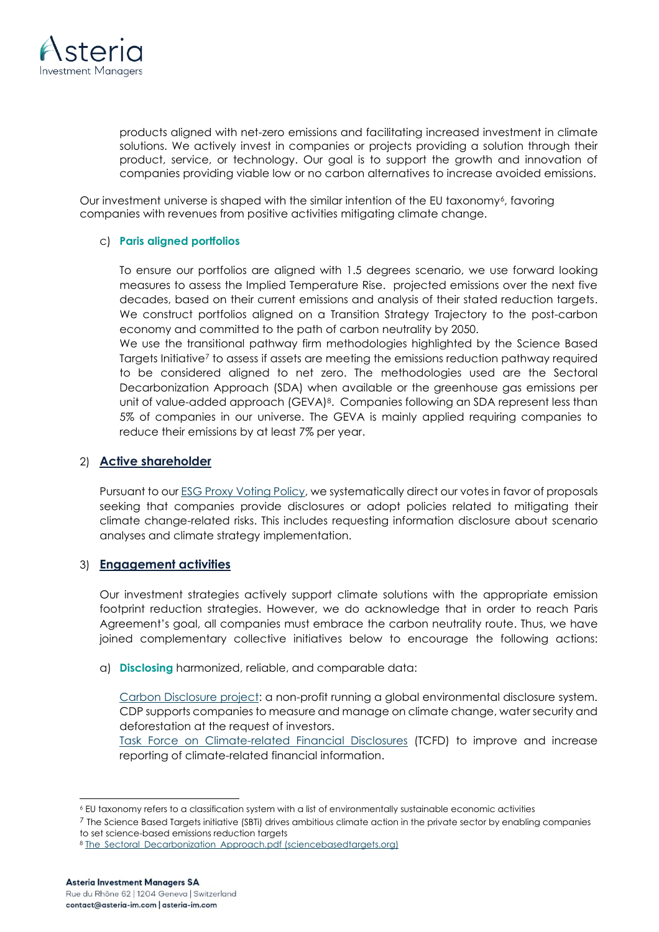

products aligned with net-zero emissions and facilitating increased investment in climate solutions. We actively invest in companies or projects providing a solution through their product, service, or technology. Our goal is to support the growth and innovation of companies providing viable low or no carbon alternatives to increase avoided emissions.

Our investment universe is shaped with the similar intention of the EU taxonomy<sup>6</sup>, favoring companies with revenues from positive activities mitigating climate change.

#### <span id="page-3-0"></span>c) **Paris aligned portfolios**

To ensure our portfolios are aligned with 1.5 degrees scenario, we use forward looking measures to assess the Implied Temperature Rise. projected emissions over the next five decades, based on their current emissions and analysis of their stated reduction targets. We construct portfolios aligned on a Transition Strategy Trajectory to the post-carbon economy and committed to the path of carbon neutrality by 2050.

We use the transitional pathway firm methodologies highlighted by the Science Based Targets Initiative<sup>7</sup> to assess if assets are meeting the emissions reduction pathway required to be considered aligned to net zero. The methodologies used are the Sectoral Decarbonization Approach (SDA) when available or the greenhouse gas emissions per unit of value-added approach (GEVA)<sup>8</sup>. Companies following an SDA represent less than 5% of companies in our universe. The GEVA is mainly applied requiring companies to reduce their emissions by at least 7% per year.

#### <span id="page-3-1"></span>2) **Active shareholder**

Pursuant to our ESG Proxy [Voting Policy,](https://www.asteria-im.com/sites/default/files/2021-01/Asteria_proxy_policy.pdf) we systematically direct our votes in favor of proposals seeking that companies provide disclosures or adopt policies related to mitigating their climate change-related risks. This includes requesting information disclosure about scenario analyses and climate strategy implementation.

#### <span id="page-3-2"></span>3) **Engagement activities**

Our investment strategies actively support climate solutions with the appropriate emission footprint reduction strategies. However, we do acknowledge that in order to reach Paris Agreement's goal, all companies must embrace the carbon neutrality route. Thus, we have joined complementary collective initiatives below to encourage the following actions:

<span id="page-3-3"></span>a) **Disclosing** harmonized, reliable, and comparable data:

[Carbon Disclosure project:](https://www.cdp.net/en) a non-profit running a global environmental disclosure system. CDP supports companies to measure and manage on climate change, water security and deforestation at the request of investors.

[Task Force on Climate-related Financial Disclosures](https://www.fsb-tcfd.org/) (TCFD) to improve and increase reporting of climate-related financial information.

<sup>6</sup> EU taxonomy refers to a classification system with a list of environmentally sustainable economic activities

<sup>7</sup> The Science Based Targets initiative (SBTi) drives ambitious climate action in the private sector by enabling companies to set science-based emissions reduction targets

<sup>8</sup> [The\\_Sectoral\\_Decarbonization\\_Approach.pdf \(sciencebasedtargets.org\)](https://sciencebasedtargets.org/resources/legacy/2014/09/The_Sectoral_Decarbonization_Approach.pdf)